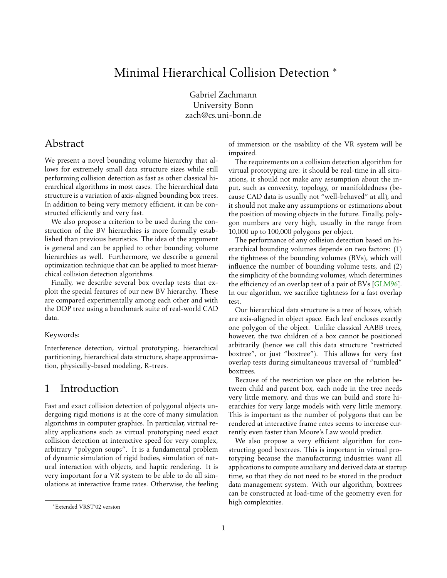# <span id="page-0-0"></span>Minimal Hierarchical Collision Detection <sup>\*</sup>

Gabriel Zachmann University Bonn zach@cs.uni-bonn.de

# Abstract

We present a novel bounding volume hierarchy that allows for extremely small data structure sizes while still performing collision detection as fast as other classical hierarchical algorithms in most cases. The hierarchical data structure is a variation of axis-aligned bounding box trees. In addition to being very memory efficient, it can be constructed efficiently and very fast.

We also propose a criterion to be used during the construction of the BV hierarchies is more formally established than previous heuristics. The idea of the argument is general and can be applied to other bounding volume hierarchies as well. Furthermore, we describe a general optimization technique that can be applied to most hierarchical collision detection algorithms.

Finally, we describe several box overlap tests that exploit the special features of our new BV hierarchy. These are compared experimentally among each other and with the DOP tree using a benchmark suite of real-world CAD data.

### Keywords:

Interference detection, virtual prototyping, hierarchical partitioning, hierarchical data structure, shape approximation, physically-based modeling, R-trees.

# 1 Introduction

Fast and exact collision detection of polygonal objects undergoing rigid motions is at the core of many simulation algorithms in computer graphics. In particular, virtual reality applications such as virtual prototyping need exact collision detection at interactive speed for very complex, arbitrary "polygon soups". It is a fundamental problem of dynamic simulation of rigid bodies, simulation of natural interaction with objects, and haptic rendering. It is very important for a VR system to be able to do all simulations at interactive frame rates. Otherwise, the feeling

of immersion or the usability of the VR system will be impaired.

The requirements on a collision detection algorithm for virtual prototyping are: it should be real-time in all situations, it should not make any assumption about the input, such as convexity, topology, or manifoldedness (because CAD data is usually not "well-behaved" at all), and it should not make any assumptions or estimations about the position of moving objects in the future. Finally, polygon numbers are very high, usually in the range from 10,000 up to 100,000 polygons per object.

The performance of any collision detection based on hierarchical bounding volumes depends on two factors: (1) the tightness of the bounding volumes (BVs), which will influence the number of bounding volume tests, and (2) the simplicity of the bounding volumes, which determines the efficiency of an overlap test of a pair of BVs [\[GLM96\]](#page-9-0). In our algorithm, we sacrifice tightness for a fast overlap test.

Our hierarchical data structure is a tree of boxes, which are axis-aligned in object space. Each leaf encloses exactly one polygon of the object. Unlike classical AABB trees, however, the two children of a box cannot be positioned arbitrarily (hence we call this data structure "restricted boxtree", or just "boxtree"). This allows for very fast overlap tests during simultaneous traversal of "tumbled" boxtrees.

Because of the restriction we place on the relation between child and parent box, each node in the tree needs very little memory, and thus we can build and store hierarchies for very large models with very little memory. This is important as the number of polygons that can be rendered at interactive frame rates seems to increase currently even faster than Moore's Law would predict.

We also propose a very efficient algorithm for constructing good boxtrees. This is important in virtual prototyping because the manufacturing industries want all applications to compute auxiliary and derived data at startup time, so that they do not need to be stored in the product data management system. With our algorithm, boxtrees can be constructed at load-time of the geometry even for high complexities.

<sup>∗</sup>Extended VRST'02 version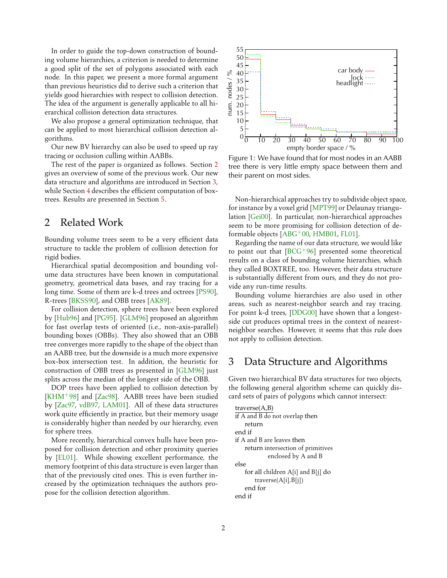<span id="page-1-0"></span>In order to guide the top-down construction of bounding volume hierarchies, a criterion is needed to determine a good split of the set of polygons associated with each node. In this paper, we present a more formal argument than previous heuristics did to derive such a criterion that yields good hierarchies with respect to collision detection. The idea of the argument is generally applicable to all hierarchical collision detection data structures.

We also propose a general optimization technique, that can be applied to most hierarchical collision detection algorithms.

Our new BV hierarchy can also be used to speed up ray tracing or occlusion culling within AABBs.

The rest of the paper is organized as follows. Section 2 gives an overview of some of the previous work. Our new data structure and algorithms are introduced in Section 3, while Section [4](#page-5-0) describes the efficient computation of boxtrees. Results are presented in Section [5.](#page-7-0)

# 2 Related Work

Bounding volume trees seem to be a very efficient data structure to tackle the problem of collision detection for rigid bodies.

Hierarchical spatial decomposition and bounding volume data structures have been known in computational geometry, geometrical data bases, and ray tracing for a long time. Some of them are k-d trees and octrees [\[PS90\]](#page-10-0), R-trees [\[BKSS90\]](#page-9-0), and OBB trees [\[AK89\]](#page-9-0).

For collision detection, sphere trees have been explored by [\[Hub96\]](#page-9-0) and [\[PG95\]](#page-10-0). [\[GLM96\]](#page-9-0) proposed an algorithm for fast overlap tests of oriented (i.e., non-axis-parallel) bounding boxes (OBBs). They also showed that an OBB tree converges more rapidly to the shape of the object than an AABB tree, but the downside is a much more expensive box-box intersection test. In addition, the heuristic for construction of OBB trees as presented in [\[GLM96\]](#page-9-0) just splits across the median of the longest side of the OBB.

DOP trees have been applied to collision detection by [\[KHM](#page-9-0)<sup>+98]</sup> and [Zac<sup>98]</sup>. AABB trees have been studied by [\[Zac97,](#page-10-0) [vdB97,](#page-10-0) [LAM01\]](#page-10-0). All of these data structures work quite efficiently in practice, but their memory usage is considerably higher than needed by our hierarchy, even for sphere trees.

More recently, hierarchical convex hulls have been proposed for collision detection and other proximity queries by [\[EL01\]](#page-9-0). While showing excellent performance, the memory footprint of this data structure is even larger than that of the previously cited ones. This is even further increased by the optimization techniques the authors propose for the collision detection algorithm.



Figure 1: We have found that for most nodes in an AABB tree there is very little empty space between them and their parent on most sides.

Non-hierarchical approaches try to subdivide object space, for instance by a voxel grid [\[MPT99\]](#page-10-0) or Delaunay triangulation [\[Gei00\]](#page-9-0). In particular, non-hierarchical approaches seem to be more promising for collision detection of deformable objects [\[ABG](#page-9-0)+00, [HMB01,](#page-9-0) [FL01\]](#page-9-0).

Regarding the name of our data structure, we would like to point out that  $[BCG^+96]$  $[BCG^+96]$  presented some theoretical results on a class of bounding volume hierarchies, which they called BOXTREE, too. However, their data structure is substantially different from ours, and they do not provide any run-time results.

Bounding volume hierarchies are also used in other areas, such as nearest-neighbor search and ray tracing. For point k-d trees, [\[DDG00\]](#page-9-0) have shown that a longestside cut produces optimal trees in the context of nearestneighbor searches. However, it seems that this rule does not apply to collision detection.

# 3 Data Structure and Algorithms

Given two hierarchical BV data structures for two objects, the following general algorithm scheme can quickly discard sets of pairs of polygons which cannot intersect:

traverse(A,B) if A and B do not overlap then return end if if A and B are leaves then return intersection of primitives enclosed by A and B else for all children A[i] and B[j] do traverse(A[i],B[j]) end for end if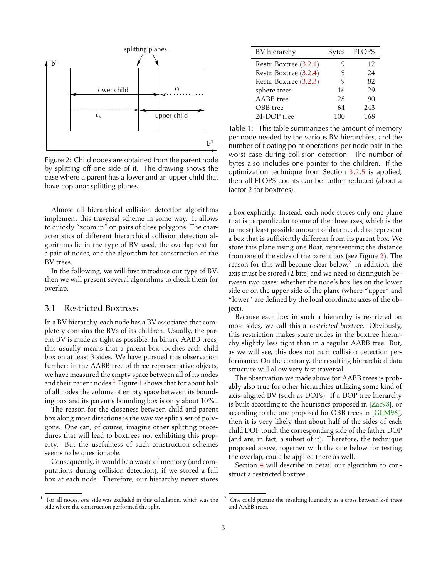<span id="page-2-0"></span>

Figure 2: Child nodes are obtained from the parent node by splitting off one side of it. The drawing shows the case where a parent has a lower and an upper child that have coplanar splitting planes.

Almost all hierarchical collision detection algorithms implement this traversal scheme in some way. It allows to quickly "zoom in" on pairs of close polygons. The characteristics of different hierarchical collision detection algorithms lie in the type of BV used, the overlap test for a pair of nodes, and the algorithm for construction of the BV trees.

In the following, we will first introduce our type of BV, then we will present several algorithms to check them for overlap.

### 3.1 Restricted Boxtrees

In a BV hierarchy, each node has a BV associated that completely contains the BVs of its children. Usually, the parent BV is made as tight as possible. In binary AABB trees, this usually means that a parent box touches each child box on at least 3 sides. We have pursued this observation further: in the AABB tree of three representative objects, we have measured the empty space between all of its nodes and their parent nodes.<sup>[1](#page-1-0)</sup> Figure 1 shows that for about half of all nodes the volume of empty space between its bounding box and its parent's bounding box is only about 10%.

The reason for the closeness between child and parent box along most directions is the way we split a set of polygons. One can, of course, imagine other splitting procedures that will lead to boxtrees not exhibiting this property. But the usefulness of such construction schemes seems to be questionable.

Consequently, it would be a waste of memory (and computations during collision detection), if we stored a full box at each node. Therefore, our hierarchy never stores

| BV hierarchy           | <b>Bytes</b> | <b>FLOPS</b> |
|------------------------|--------------|--------------|
| Restr. Boxtree (3.2.1) |              | 12           |
| Restr. Boxtree (3.2.4) | ч            | 24           |
| Restr. Boxtree (3.2.3) | 9            | 82           |
| sphere trees           | 16           | 29           |
| AABB tree              | 28           | 90           |
| OBB tree               | 64           | 243          |
| 24-DOP tree            | 100          | 168          |

Table 1: This table summarizes the amount of memory per node needed by the various BV hierarchies, and the number of floating point operations per node pair in the worst case during collision detection. The number of bytes also includes one pointer to the children. If the optimization technique from Section [3.2.5](#page-4-0) is applied, then all FLOPS counts can be further reduced (about a factor 2 for boxtrees).

a box explicitly. Instead, each node stores only one plane that is perpendicular to one of the three axes, which is the (almost) least possible amount of data needed to represent a box that is sufficiently different from its parent box. We store this plane using one float, representing the distance from one of the sides of the parent box (see Figure 2). The reason for this will become clear below.<sup>2</sup> In addition, the axis must be stored (2 bits) and we need to distinguish between two cases: whether the node's box lies on the lower side or on the upper side of the plane (where "upper" and "lower" are defined by the local coordinate axes of the object).

Because each box in such a hierarchy is restricted on most sides, we call this a restricted boxtree. Obviously, this restriction makes some nodes in the boxtree hierarchy slightly less tight than in a regular AABB tree. But, as we will see, this does not hurt collision detection performance. On the contrary, the resulting hierarchical data structure will allow very fast traversal.

The observation we made above for AABB trees is probably also true for other hierarchies utilizing some kind of axis-aligned BV (such as DOPs). If a DOP tree hierarchy is built according to the heuristics proposed in [\[Zac98\]](#page-10-0), or according to the one proposed for OBB trees in [\[GLM96\]](#page-9-0), then it is very likely that about half of the sides of each child DOP touch the corresponding side of the father DOP (and are, in fact, a subset of it). Therefore, the technique proposed above, together with the one below for testing the overlap, could be applied there as well.

Section [4](#page-5-0) will describe in detail our algorithm to construct a restricted boxtree.

<sup>1</sup> For all nodes, *one* side was excluded in this calculation, which was the side where the construction performed the split.

<sup>2</sup> One could picture the resulting hierarchy as a cross between k-d trees and AABB trees.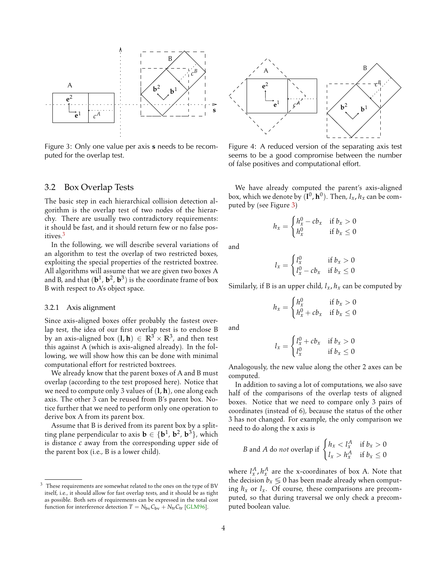<span id="page-3-0"></span>

Figure 3: Only one value per axis **s** needs to be recomputed for the overlap test.

### 3.2 Box Overlap Tests

The basic step in each hierarchical collision detection algorithm is the overlap test of two nodes of the hierarchy. There are usually two contradictory requirements: it should be fast, and it should return few or no false positives.<sup>3</sup>

In the following, we will describe several variations of an algorithm to test the overlap of two restricted boxes, exploiting the special properties of the restricted boxtree. All algorithms will assume that we are given two boxes A and B, and that  $(\mathbf{b}^1, \mathbf{b}^2, \mathbf{b}^3)$  is the coordinate frame of box B with respect to A's object space.

#### 3.2.1 Axis alignment

Since axis-aligned boxes offer probably the fastest overlap test, the idea of our first overlap test is to enclose B  $\overline{\text{b} \text{y}}$  an axis-aligned box  $(\textbf{l}, \textbf{h}) \in \mathbb{R}^3 \times \mathbb{R}^3$ , and then test this against A (which is axis-aligned already). In the following, we will show how this can be done with minimal computational effort for restricted boxtrees.

We already know that the parent boxes of A and B must overlap (according to the test proposed here). Notice that we need to compute only 3 values of (**l**, **h**), one along each axis. The other 3 can be reused from B's parent box. Notice further that we need to perform only one operation to derive box A from its parent box.

Assume that B is derived from its parent box by a splitting plane perpendicular to axis  $\mathbf{b} \in \{\mathbf{b}^1, \mathbf{b}^2, \mathbf{b}^3\}$ , which is distance *c* away from the corresponding upper side of the parent box (i.e., B is a lower child).



Figure 4: A reduced version of the separating axis test seems to be a good compromise between the number of false positives and computational effort.

We have already computed the parent's axis-aligned box, which we denote by  $(\mathbf{l}^0,\mathbf{h}^0)$ . Then,  $l_x$ ,  $h_x$  can be computed by (see Figure 3)

$$
h_x = \begin{cases} h_x^0 - cb_x & \text{if } b_x > 0\\ h_x^0 & \text{if } b_x \le 0 \end{cases}
$$

and

$$
l_x = \begin{cases} l_x^0 & \text{if } b_x > 0\\ l_x^0 - cb_x & \text{if } b_x \le 0 \end{cases}
$$

Similarly, if B is an upper child,  $l_x$ ,  $h_x$  can be computed by

$$
h_x = \begin{cases} h_x^0 & \text{if } b_x > 0\\ h_x^0 + cb_x & \text{if } b_x \le 0 \end{cases}
$$

and

$$
l_x = \begin{cases} l_x^0 + cb_x & \text{if } b_x > 0\\ l_x^0 & \text{if } b_x \le 0 \end{cases}
$$

Analogously, the new value along the other 2 axes can be computed.

In addition to saving a lot of computations, we also save half of the comparisons of the overlap tests of aligned boxes. Notice that we need to compare only 3 pairs of coordinates (instead of 6), because the status of the other 3 has not changed. For example, the only comparison we need to do along the x axis is

*B* and *A* do *not* overlap if 
$$
\begin{cases} h_x < l_x^A & \text{if } b_x > 0 \\ l_x > h_x^A & \text{if } b_x \le 0 \end{cases}
$$

where  $l_x^A$ ,  $h_x^A$  are the x-coordinates of box A. Note that the decision  $b_x \leq 0$  has been made already when computing  $h_x$  or  $l_x$ . Of course, these comparisons are precomputed, so that during traversal we only check a precomputed boolean value.

 $3$  These requirements are somewhat related to the ones on the type of BV itself, i.e., it should allow for fast overlap tests, and it should be as tight as possible. Both sets of requirements can be expressed in the total cost function for interference detection  $T = N_{\text{bv}}C_{\text{bv}} + N_{\text{tr}}C_{\text{tr}}$  [\[GLM96\]](#page-9-0).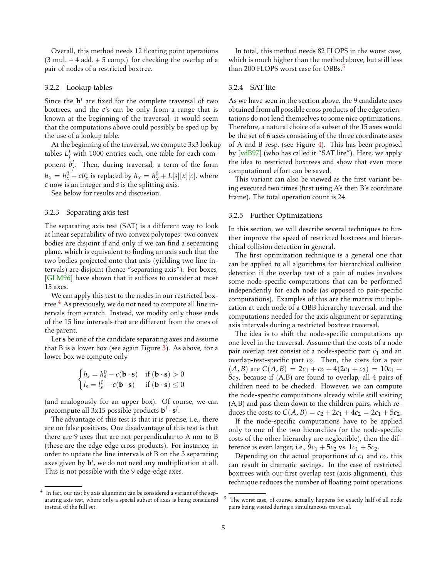<span id="page-4-0"></span>Overall, this method needs 12 floating point operations  $(3 \text{ mul.} + 4 \text{ add.} + 5 \text{ comp.})$  for checking the overlap of a pair of nodes of a restricted boxtree.

#### 3.2.2 Lookup tables

Since the  $\mathbf{b}^i$  are fixed for the complete traversal of two boxtrees, and the *c*'s can be only from a range that is known at the beginning of the traversal, it would seem that the computations above could possibly be sped up by the use of a lookup table.

At the beginning of the traversal, we compute 3x3 lookup tables  $L_j^i$  with 1000 entries each, one table for each component  $b_j^i$ . Then, during traversal, a term of the form  $h_x = h_x^0 - cb_x^s$  is replaced by  $h_x = h_x^0 + L[s][x][c]$ , where *c* now is an integer and *s* is the splitting axis.

See below for results and discussion.

### 3.2.3 Separating axis test

The separating axis test (SAT) is a different way to look at linear separability of two convex polytopes: two convex bodies are disjoint if and only if we can find a separating plane, which is equivalent to finding an axis such that the two bodies projected onto that axis (yielding two line intervals) are disjoint (hence "separating axis"). For boxes, [\[GLM96\]](#page-9-0) have shown that it suffices to consider at most 15 axes.

We can apply this test to the nodes in our restricted boxtree. $4$  As previously, we do not need to compute all line intervals from scratch. Instead, we modify only those ends of the 15 line intervals that are different from the ones of the parent.

Let **s** be one of the candidate separating axes and assume that B is a lower box (see again Figure [3\)](#page-3-0). As above, for a lower box we compute only

$$
\begin{cases} h_{s} = h_{s}^{0} - c(\mathbf{b} \cdot \mathbf{s}) & \text{if } (\mathbf{b} \cdot \mathbf{s}) > 0 \\ l_{s} = l_{s}^{0} - c(\mathbf{b} \cdot \mathbf{s}) & \text{if } (\mathbf{b} \cdot \mathbf{s}) \leq 0 \end{cases}
$$

(and analogously for an upper box). Of course, we can precompute all  $3x15$  possible products  $\mathbf{b}^i \cdot \mathbf{s}^j$ .

The advantage of this test is that it is precise, i.e., there are no false positives. One disadvantage of this test is that there are 9 axes that are not perpendicular to A nor to B (these are the edge-edge cross products). For instance, in order to update the line intervals of B on the 3 separating axes given by  $\mathbf{b}^i$ , we do not need any multiplication at all. This is not possible with the 9 edge-edge axes.

In total, this method needs 82 FLOPS in the worst case, which is much higher than the method above, but still less than 200 FLOPS worst case for OBBs.<sup>5</sup>

#### 3.2.4 SAT lite

As we have seen in the section above, the 9 candidate axes obtained from all possible cross products of the edge orientations do not lend themselves to some nice optimizations. Therefore, a natural choice of a subset of the 15 axes would be the set of 6 axes consisting of the three coordinate axes of A and B resp. (see Figure [4\)](#page-3-0). This has been proposed by [\[vdB97\]](#page-10-0) (who has called it "SAT lite"). Here, we apply the idea to restricted boxtrees and show that even more computational effort can be saved.

This variant can also be viewed as the first variant being executed two times (first using A's then B's coordinate frame). The total operation count is 24.

#### 3.2.5 Further Optimizations

In this section, we will describe several techniques to further improve the speed of restricted boxtrees and hierarchical collision detection in general.

The first optimization technique is a general one that can be applied to all algorithms for hierarchical collision detection if the overlap test of a pair of nodes involves some node-specific computations that can be performed independently for each node (as opposed to pair-specific computations). Examples of this are the matrix multiplication at each node of a OBB hierarchy traversal, and the computations needed for the axis alignment or separating axis intervals during a restricted boxtree traversal.

The idea is to shift the node-specific computations up one level in the traversal. Assume that the costs of a node pair overlap test consist of a node-specific part *c*<sup>1</sup> and an overlap-test-specific part *c*2. Then, the costs for a pair  $(A, B)$  are  $C(A, B) = 2c_1 + c_2 + 4(2c_1 + c_2) = 10c_1 +$ 5*c*2, because if (A,B) are found to overlap, all 4 pairs of children need to be checked. However, we can compute the node-specific computations already while still visiting (A,B) and pass them down to the children pairs, which reduces the costs to  $C(A, B) = c_2 + 2c_1 + 4c_2 = 2c_1 + 5c_2$ .

If the node-specific computations have to be applied only to one of the two hierarchies (or the node-specific costs of the other hierarchy are neglectible), then the difference is even larger, i.e.,  $9c_1 + 5c_2$  vs.  $1c_1 + 5c_2$ .

Depending on the actual proportions of *c*<sup>1</sup> and *c*2, this can result in dramatic savings. In the case of restricted boxtrees with our first overlap test (axis alignment), this technique reduces the number of floating point operations

<sup>&</sup>lt;sup>4</sup> In fact, our test by axis alignment can be considered a variant of the separating axis test, where only a special subset of axes is being considered instead of the full set.

The worst case, of course, actually happens for exactly half of all node pairs being visited during a simultaneous traversal.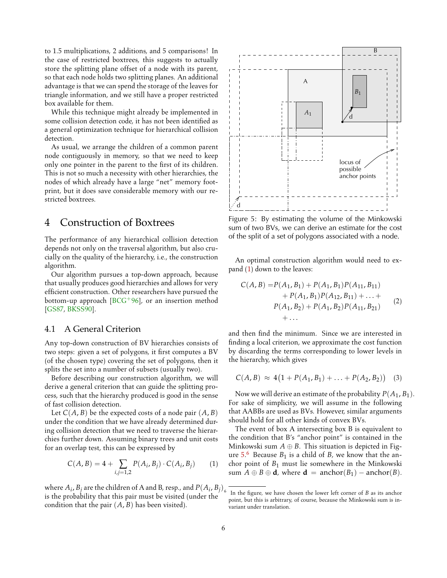<span id="page-5-0"></span>to 1.5 multiplications, 2 additions, and 5 comparisons! In the case of restricted boxtrees, this suggests to actually store the splitting plane offset of a node with its parent, so that each node holds two splitting planes. An additional advantage is that we can spend the storage of the leaves for triangle information, and we still have a proper restricted box available for them.

While this technique might already be implemented in some collision detection code, it has not been identified as a general optimization technique for hierarchical collision detection.

As usual, we arrange the children of a common parent node contiguously in memory, so that we need to keep only one pointer in the parent to the first of its children. This is not so much a necessity with other hierarchies, the nodes of which already have a large "net" memory footprint, but it does save considerable memory with our restricted boxtrees.

# 4 Construction of Boxtrees

The performance of any hierarchical collision detection depends not only on the traversal algorithm, but also crucially on the quality of the hierarchy, i.e., the construction algorithm.

Our algorithm pursues a top-down approach, because that usually produces good hierarchies and allows for very efficient construction. Other researchers have pursued the bottom-up approach  $[BCG^+96]$  $[BCG^+96]$ , or an insertion method [\[GS87,](#page-9-0) [BKSS90\]](#page-9-0).

### 4.1 A General Criterion

Any top-down construction of BV hierarchies consists of two steps: given a set of polygons, it first computes a BV (of the chosen type) covering the set of polygons, then it splits the set into a number of subsets (usually two).

Before describing our construction algorithm, we will derive a general criterion that can guide the splitting process, such that the hierarchy produced is good in the sense of fast collision detection.

Let  $C(A, B)$  be the expected costs of a node pair  $(A, B)$ under the condition that we have already determined during collision detection that we need to traverse the hierarchies further down. Assuming binary trees and unit costs for an overlap test, this can be expressed by

$$
C(A, B) = 4 + \sum_{i,j=1,2} P(A_i, B_j) \cdot C(A_i, B_j)
$$
 (1)

where  $A_i$ ,  $B_j$  are the children of A and B, resp., and  $P(A_i,B_j)_{\epsilon}$ is the probability that this pair must be visited (under the condition that the pair  $(A, B)$  has been visited).



Figure 5: By estimating the volume of the Minkowski sum of two BVs, we can derive an estimate for the cost of the split of a set of polygons associated with a node.

An optimal construction algorithm would need to expand (1) down to the leaves:

$$
C(A, B) = P(A_1, B_1) + P(A_1, B_1)P(A_{11}, B_{11})
$$
  
+  $P(A_1, B_1)P(A_{12}, B_{11}) + ... +$   
 $P(A_1, B_2) + P(A_1, B_2)P(A_{11}, B_{21})$   
+ ... (2)

and then find the minimum. Since we are interested in finding a local criterion, we approximate the cost function by discarding the terms corresponding to lower levels in the hierarchy, which gives

$$
C(A, B) \approx 4(1 + P(A_1, B_1) + \ldots + P(A_2, B_2)) \quad (3)
$$

Now we will derive an estimate of the probability  $P(A_1, B_1)$ . For sake of simplicity, we will assume in the following that AABBs are used as BVs. However, similar arguments should hold for all other kinds of convex BVs.

The event of box A intersecting box B is equivalent to the condition that B's "anchor point" is contained in the Minkowski sum  $A \oplus B$ . This situation is depicted in Figure 5. <sup>6</sup> Because *B*<sup>1</sup> is a child of *B*, we know that the anchor point of *B*<sup>1</sup> must lie somewhere in the Minkowski sum  $A \oplus B \oplus d$ , where  $d =$  anchor( $B_1$ ) – anchor( $B$ ).

In the figure, we have chosen the lower left corner of *B* as its anchor point, but this is arbitrary, of course, because the Minkowski sum is invariant under translation.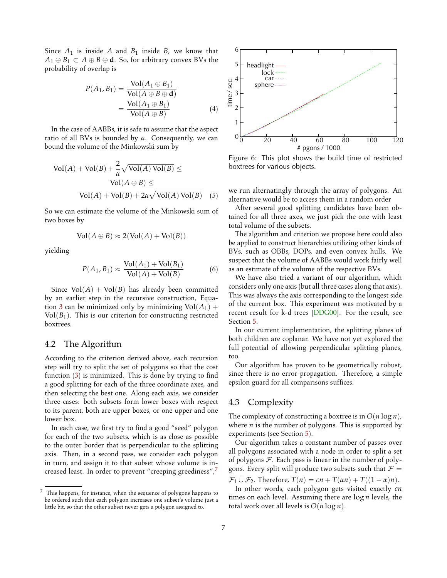<span id="page-6-0"></span>Since  $A_1$  is inside  $A$  and  $B_1$  inside  $B$ , we know that  $A_1 \oplus B_1 \subset A \oplus B \oplus d$ . So, for arbitrary convex BVs the probability of overlap is

$$
P(A_1, B_1) = \frac{\text{Vol}(A_1 \oplus B_1)}{\text{Vol}(A \oplus B \oplus \mathbf{d})}
$$
  
= 
$$
\frac{\text{Vol}(A_1 \oplus B_1)}{\text{Vol}(A \oplus B)}
$$
(4)

In the case of AABBs, it is safe to assume that the aspect ratio of all BVs is bounded by *α*. Consequently, we can bound the volume of the Minkowski sum by

$$
Vol(A) + Vol(B) + \frac{2}{\alpha} \sqrt{Vol(A) Vol(B)} \leq
$$
  
 
$$
Vol(A \oplus B) \leq
$$
  
 
$$
Vol(A) + Vol(B) + 2\alpha \sqrt{Vol(A) Vol(B)}
$$
 (5)

So we can estimate the volume of the Minkowski sum of two boxes by

$$
Vol(A \oplus B) \approx 2(Vol(A) + Vol(B))
$$

yielding

$$
P(A_1, B_1) \approx \frac{\text{Vol}(A_1) + \text{Vol}(B_1)}{\text{Vol}(A) + \text{Vol}(B)}
$$
(6)

Since  $Vol(A) + Vol(B)$  has already been committed by an earlier step in the recursive construction, Equa-tion [3](#page-5-0) can be minimized only by minimizing  $Vol(A_1)$  +  $Vol(B_1)$ . This is our criterion for constructing restricted boxtrees.

### 4.2 The Algorithm

According to the criterion derived above, each recursion step will try to split the set of polygons so that the cost function [\(3\)](#page-5-0) is minimized. This is done by trying to find a good splitting for each of the three coordinate axes, and then selecting the best one. Along each axis, we consider three cases: both subsets form lower boxes with respect to its parent, both are upper boxes, or one upper and one lower box.

In each case, we first try to find a good "seed" polygon for each of the two subsets, which is as close as possible to the outer border that is perpendicular to the splitting axis. Then, in a second pass, we consider each polygon in turn, and assign it to that subset whose volume is increased least. In order to prevent "creeping greediness",



Figure 6: This plot shows the build time of restricted boxtrees for various objects.

we run alternatingly through the array of polygons. An alternative would be to access them in a random order

After several good splitting candidates have been obtained for all three axes, we just pick the one with least total volume of the subsets.

The algorithm and criterion we propose here could also be applied to construct hierarchies utilizing other kinds of BVs, such as OBBs, DOPs, and even convex hulls. We suspect that the volume of AABBs would work fairly well as an estimate of the volume of the respective BVs.

We have also tried a variant of our algorithm, which considers only one axis (but all three cases along that axis). This was always the axis corresponding to the longest side of the current box. This experiment was motivated by a recent result for k-d trees [\[DDG00\]](#page-9-0). For the result, see Section [5.](#page-7-0)

In our current implementation, the splitting planes of both children are coplanar. We have not yet explored the full potential of allowing perpendicular splitting planes, too.

Our algorithm has proven to be geometrically robust, since there is no error propagation. Therefore, a simple epsilon guard for all comparisons suffices.

### 4.3 Complexity

The complexity of constructing a boxtree is in *O*(*n* log *n*), where *n* is the number of polygons. This is supported by experiments (see Section [5\)](#page-7-0).

Our algorithm takes a constant number of passes over all polygons associated with a node in order to split a set of polygons  $\mathcal F$ . Each pass is linear in the number of polygons. Every split will produce two subsets such that  $\mathcal{F} =$ 

 $\mathcal{F}_1 \cup \mathcal{F}_2$ . Therefore,  $T(n) = cn + T(\alpha n) + T((1 - \alpha)n)$ .

In other words, each polygon gets visited exactly *cn* times on each level. Assuming there are log *n* levels, the total work over all levels is *O*(*n* log *n*).

 $7$  This happens, for instance, when the sequence of polygons happens to be ordered such that each polygon increases one subset's volume just a little bit, so that the other subset never gets a polygon assigned to.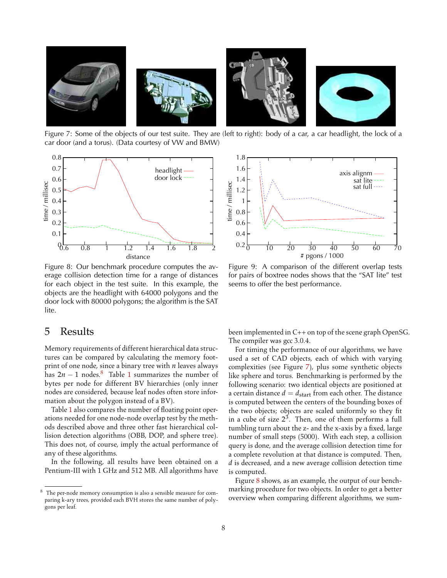<span id="page-7-0"></span>

Figure 7: Some of the objects of our test suite. They are (left to right): body of a car, a car headlight, the lock of a car door (and a torus). (Data courtesy of VW and BMW)



Figure 8: Our benchmark procedure computes the average collision detection time for a range of distances for each object in the test suite. In this example, the objects are the headlight with 64000 polygons and the door lock with 80000 polygons; the algorithm is the SAT lite.

### 5 Results

Memory requirements of different hierarchical data structures can be compared by calculating the memory footprint of one node, since a binary tree with *n* leaves always has  $2n - 1$  $2n - 1$  nodes.<sup>8</sup> Table 1 summarizes the number of bytes per node for different BV hierarchies (only inner nodes are considered, because leaf nodes often store information about the polygon instead of a BV).

Table [1](#page-2-0) also compares the number of floating point operations needed for one node-node overlap test by the methods described above and three other fast hierarchical collision detection algorithms (OBB, DOP, and sphere tree). This does not, of course, imply the actual performance of any of these algorithms.

In the following, all results have been obtained on a Pentium-III with 1 GHz and 512 MB. All algorithms have



Figure 9: A comparison of the different overlap tests for pairs of boxtree nodes shows that the "SAT lite" test seems to offer the best performance.

been implemented in C++ on top of the scene graph OpenSG. The compiler was gcc 3.0.4.

For timing the performance of our algorithms, we have used a set of CAD objects, each of which with varying complexities (see Figure 7), plus some synthetic objects like sphere and torus. Benchmarking is performed by the following scenario: two identical objects are positioned at a certain distance  $d = d_{\text{start}}$  from each other. The distance is computed between the centers of the bounding boxes of the two objects; objects are scaled uniformly so they fit in a cube of size  $2^3$ . Then, one of them performs a full tumbling turn about the z- and the x-axis by a fixed, large number of small steps (5000). With each step, a collision query is done, and the average collision detection time for a complete revolution at that distance is computed. Then, *d* is decreased, and a new average collision detection time is computed.

Figure 8 shows, as an example, the output of our benchmarking procedure for two objects. In order to get a better overview when comparing different algorithms, we sum-

<sup>8</sup> The per-node memory consumption is also a sensible measure for comparing k-ary trees, provided each BVH stores the same number of polygons per leaf.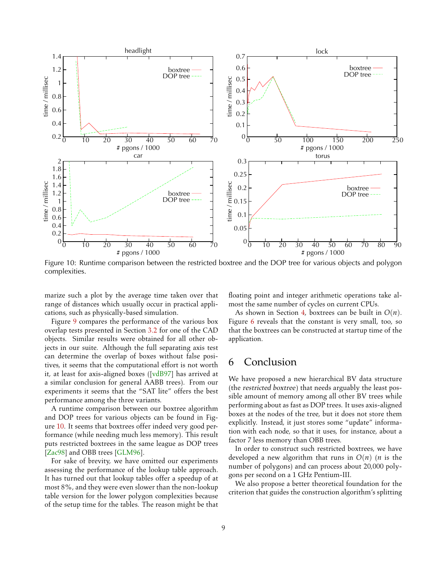<span id="page-8-0"></span>

Figure 10: Runtime comparison between the restricted boxtree and the DOP tree for various objects and polygon complexities.

marize such a plot by the average time taken over that range of distances which usually occur in practical applications, such as physically-based simulation.

Figure [9](#page-7-0) compares the performance of the various box overlap tests presented in Section [3.2](#page-3-0) for one of the CAD objects. Similar results were obtained for all other objects in our suite. Although the full separating axis test can determine the overlap of boxes without false positives, it seems that the computational effort is not worth it, at least for axis-aligned boxes ([\[vdB97\]](#page-10-0) has arrived at a similar conclusion for general AABB trees). From our experiments it seems that the "SAT lite" offers the best performance among the three variants.

A runtime comparison between our boxtree algorithm and DOP trees for various objects can be found in Figure 10. It seems that boxtrees offer indeed very good performance (while needing much less memory). This result puts restricted boxtrees in the same league as DOP trees [\[Zac98\]](#page-10-0) and OBB trees [\[GLM96\]](#page-9-0).

For sake of brevity, we have omitted our experiments assessing the performance of the lookup table approach. It has turned out that lookup tables offer a speedup of at most 8%, and they were even slower than the non-lookup table version for the lower polygon complexities because of the setup time for the tables. The reason might be that floating point and integer arithmetic operations take almost the same number of cycles on current CPUs.

As shown in Section [4,](#page-5-0) boxtrees can be built in *O*(*n*). Figure [6](#page-6-0) reveals that the constant is very small, too, so that the boxtrees can be constructed at startup time of the application.

# 6 Conclusion

We have proposed a new hierarchical BV data structure (the restricted boxtree) that needs arguably the least possible amount of memory among all other BV trees while performing about as fast as DOP trees. It uses axis-aligned boxes at the nodes of the tree, but it does not store them explicitly. Instead, it just stores some "update" information with each node, so that it uses, for instance, about a factor 7 less memory than OBB trees.

In order to construct such restricted boxtrees, we have developed a new algorithm that runs in *O*(*n*) (*n* is the number of polygons) and can process about 20,000 polygons per second on a 1 GHz Pentium-III.

We also propose a better theoretical foundation for the criterion that guides the construction algorithm's splitting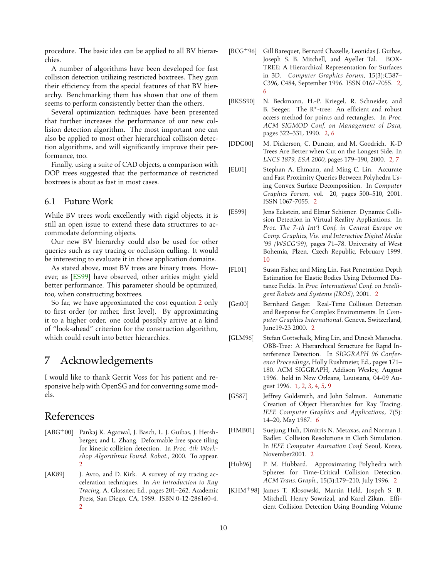<span id="page-9-0"></span>procedure. The basic idea can be applied to all BV hierarchies.

A number of algorithms have been developed for fast collision detection utilizing restricted boxtrees. They gain their efficiency from the special features of that BV hierarchy. Benchmarking them has shown that one of them seems to perform consistently better than the others.

Several optimization techniques have been presented that further increases the performance of our new collision detection algorithm. The most important one can also be applied to most other hierarchical collision detection algorithms, and will significantly improve their performance, too.

Finally, using a suite of CAD objects, a comparison with DOP trees suggested that the performance of restricted boxtrees is about as fast in most cases.

### 6.1 Future Work

While BV trees work excellently with rigid objects, it is still an open issue to extend these data structures to accommodate deforming objects.

Our new BV hierarchy could also be used for other queries such as ray tracing or occlusion culling. It would be interesting to evaluate it in those application domains.

As stated above, most BV trees are binary trees. However, as [ES99] have observed, other arities might yield better performance. This parameter should be optimized, too, when constructing boxtrees.

So far, we have approximated the cost equation [2](#page-5-0) only to first order (or rather, first level). By approximating it to a higher order, one could possibly arrive at a kind of "look-ahead" criterion for the construction algorithm, which could result into better hierarchies.

# 7 Acknowledgements

I would like to thank Gerrit Voss for his patient and responsive help with OpenSG and for converting some models.

# References

- [ABG<sup>+</sup>00] Pankaj K. Agarwal, J. Basch, L. J. Guibas, J. Hershberger, and L. Zhang. Deformable free space tiling for kinetic collision detection. In *Proc. 4th Workshop Algorithmic Found. Robot.*, 2000. To appear.  $\mathcal{D}$
- [AK89] J. Avro, and D. Kirk. A survey of ray tracing acceleration techniques. In *An Introduction to Ray Tracing*, A. Glassner, Ed., pages 201–262. Academic Press, San Diego, CA, 1989. ISBN 0-12-286160-4. [2](#page-1-0)
- [BCG+96] Gill Barequet, Bernard Chazelle, Leonidas J. Guibas, Joseph S. B. Mitchell, and Ayellet Tal. BOX-TREE: A Hierarchical Representation for Surfaces in 3D. *Computer Graphics Forum*, 15(3):C387– C396, C484, September 1996. ISSN 0167-7055. [2,](#page-1-0) [6](#page-5-0)
- [BKSS90] N. Beckmann, H.-P. Kriegel, R. Schneider, and B. Seeger. The R<sup>\*</sup>-tree: An efficient and robust access method for points and rectangles. In *Proc. ACM SIGMOD Conf. on Management of Data*, pages 322–331, 1990. [2,](#page-1-0) [6](#page-5-0)
- [DDG00] M. Dickerson, C. Duncan, and M. Goodrich. K-D Trees Are Better when Cut on the Longest Side. In *LNCS 1879, ESA 2000*, pages 179–190, 2000. [2,](#page-1-0) [7](#page-6-0)
- [EL01] Stephan A. Ehmann, and Ming C. Lin. Accurate and Fast Proximity Queries Between Polyhedra Using Convex Surface Decomposition. In *Computer Graphics Forum*, vol. 20, pages 500–510, 2001. ISSN 1067-7055. [2](#page-1-0)
- [ES99] Jens Eckstein, and Elmar Schömer. Dynamic Collision Detection in Virtual Reality Applications. In *Proc. The 7-th Int'l Conf. in Central Europe on Comp. Graphics, Vis. and Interactive Digital Media '99 (WSCG'99)*, pages 71–78. University of West Bohemia, Plzen, Czech Republic, February 1999. 10
- [FL01] Susan Fisher, and Ming Lin. Fast Penetration Depth Estimation for Elastic Bodies Using Deformed Distance Fields. In *Proc. International Conf. on Intelligent Robots and Systems (IROS)*, 2001. [2](#page-1-0)
- [Gei00] Bernhard Geiger. Real-Time Collision Detection and Response for Complex Environments. In *Computer Graphics International*. Geneva, Switzerland, June19-23 2000. [2](#page-1-0)
- [GLM96] Stefan Gottschalk, Ming Lin, and Dinesh Manocha. OBB-Tree: A Hierarchical Structure for Rapid Interference Detection. In *SIGGRAPH 96 Conference Proceedings*, Holly Rushmeier, Ed., pages 171– 180. ACM SIGGRAPH, Addison Wesley, August 1996. held in New Orleans, Louisiana, 04-09 August 1996. [1,](#page-0-0) [2,](#page-1-0) [3,](#page-2-0) [4,](#page-3-0) [5,](#page-4-0) [9](#page-8-0)
- [GS87] Jeffrey Goldsmith, and John Salmon. Automatic Creation of Object Hierarchies for Ray Tracing. *IEEE Computer Graphics and Applications*, 7(5): 14–20, May 1987. [6](#page-5-0)
- [HMB01] Suejung Huh, Dimitris N. Metaxas, and Norman I. Badler. Collision Resolutions in Cloth Simulation. In *IEEE Computer Animation Conf.* Seoul, Korea, November2001. [2](#page-1-0)
- [Hub96] P. M. Hubbard. Approximating Polyhedra with Spheres for Time-Critical Collision Detection. *ACM Trans. Graph.*, 15(3):179–210, July 1996. [2](#page-1-0)
- [KHM+98] James T. Klosowski, Martin Held, Jospeh S. B. Mitchell, Henry Sowrizal, and Karel Zikan. Efficient Collision Detection Using Bounding Volume